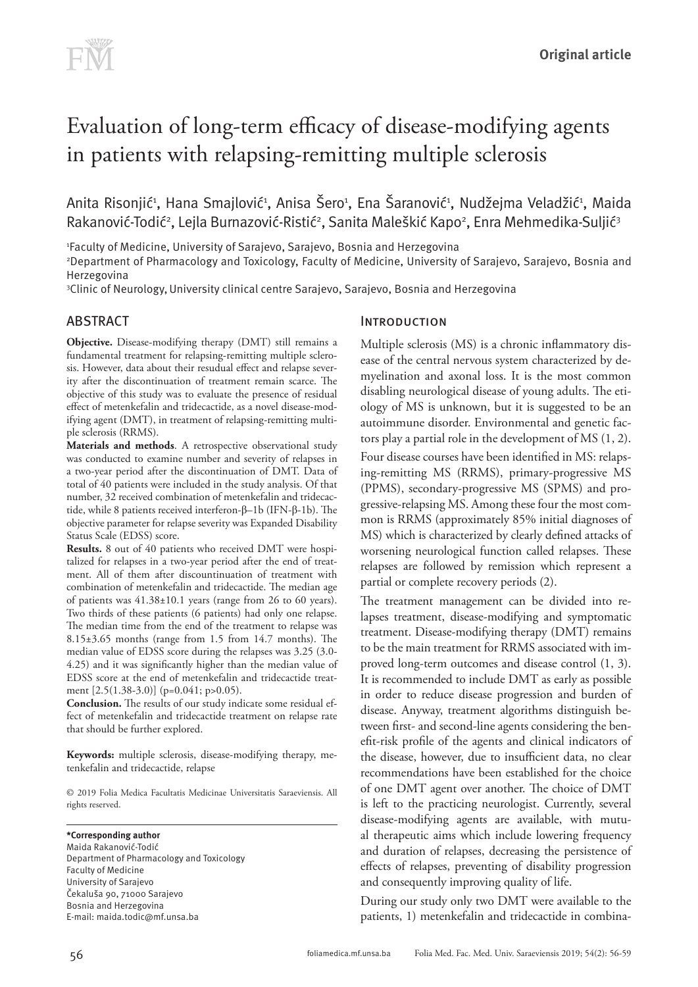# Evaluation of long-term efficacy of disease-modifying agents in patients with relapsing-remitting multiple sclerosis

Anita Risonjić<sup>1</sup>, Hana Smajlović<sup>1</sup>, Anisa Šero<sup>1</sup>, Ena Šaranović<sup>1</sup>, Nudžejma Veladžić<sup>1</sup>, Maida Rakanović-Todić<sup>2</sup>, Lejla Burnazović-Ristić<sup>2</sup>, Sanita Maleškić Kapo<sup>2</sup>, Enra Mehmedika-Suljić<sup>3</sup>

1 Faculty of Medicine, University of Sarajevo, Sarajevo, Bosnia and Herzegovina

2 Department of Pharmacology and Toxicology, Faculty of Medicine, University of Sarajevo, Sarajevo, Bosnia and Herzegovina

3 Clinic of Neurology,University clinical centre Sarajevo, Sarajevo, Bosnia and Herzegovina

# ABSTRACT

**Objective.** Disease-modifying therapy (DMT) still remains a fundamental treatment for relapsing-remitting multiple sclerosis. However, data about their resudual effect and relapse severity after the discontinuation of treatment remain scarce. The objective of this study was to evaluate the presence of residual effect of metenkefalin and tridecactide, as a novel disease-modifying agent (DMT), in treatment of relapsing-remitting multiple sclerosis (RRMS).

**Materials and methods**. A retrospective observational study was conducted to examine number and severity of relapses in a two-year period after the discontinuation of DMT. Data of total of 40 patients were included in the study analysis. Of that number, 32 received combination of metenkefalin and tridecactide, while 8 patients received interferon-β–1b (IFN-β-1b). The objective parameter for relapse severity was Expanded Disability Status Scale (EDSS) score.

**Results.** 8 out of 40 patients who received DMT were hospitalized for relapses in a two-year period after the end of treatment. All of them after discountinuation of treatment with combination of metenkefalin and tridecactide. The median age of patients was 41.38±10.1 years (range from 26 to 60 years). Two thirds of these patients (6 patients) had only one relapse. The median time from the end of the treatment to relapse was 8.15±3.65 months (range from 1.5 from 14.7 months). The median value of EDSS score during the relapses was 3.25 (3.0- 4.25) and it was significantly higher than the median value of EDSS score at the end of metenkefalin and tridecactide treatment [2.5(1.38-3.0)] (p=0.041; p>0.05).

**Conclusion.** The results of our study indicate some residual effect of metenkefalin and tridecactide treatment on relapse rate that should be further explored.

**Keywords:** multiple sclerosis, disease-modifying therapy, metenkefalin and tridecactide, relapse

© 2019 Folia Medica Facultatis Medicinae Universitatis Saraeviensis. All rights reserved.

**\*Corresponding author** Maida Rakanović-Todić Department of Pharmacology and Toxicology Faculty of Medicine University of Sarajevo Čekaluša 90, 71000 Sarajevo Bosnia and Herzegovina E-mail: maida.todi[c@mf.unsa.ba](mailto:edina.lazovic@mf.unsa.ba)

# **INTRODUCTION**

Multiple sclerosis (MS) is a chronic inflammatory disease of the central nervous system characterized by demyelination and axonal loss. It is the most common disabling neurological disease of young adults. The etiology of MS is unknown, but it is suggested to be an autoimmune disorder. Environmental and genetic factors play a partial role in the development of MS (1, 2).

Four disease courses have been identified in MS: relapsing-remitting MS (RRMS), primary-progressive MS (PPMS), secondary-progressive MS (SPMS) and progressive-relapsing MS. Among these four the most common is RRMS (approximately 85% initial diagnoses of MS) which is characterized by clearly defined attacks of worsening neurological function called relapses. These relapses are followed by remission which represent a partial or complete recovery periods (2).

The treatment management can be divided into relapses treatment, disease-modifying and symptomatic treatment. Disease-modifying therapy (DMT) remains to be the main treatment for RRMS associated with improved long-term outcomes and disease control (1, 3). It is recommended to include DMT as early as possible in order to reduce disease progression and burden of disease. Anyway, treatment algorithms distinguish between first- and second-line agents considering the benefit-risk profile of the agents and clinical indicators of the disease, however, due to insufficient data, no clear recommendations have been established for the choice of one DMT agent over another. The choice of DMT is left to the practicing neurologist. Currently, several disease-modifying agents are available, with mutual therapeutic aims which include lowering frequency and duration of relapses, decreasing the persistence of effects of relapses, preventing of disability progression and consequently improving quality of life.

During our study only two DMT were available to the patients, 1) metenkefalin and tridecactide in combina-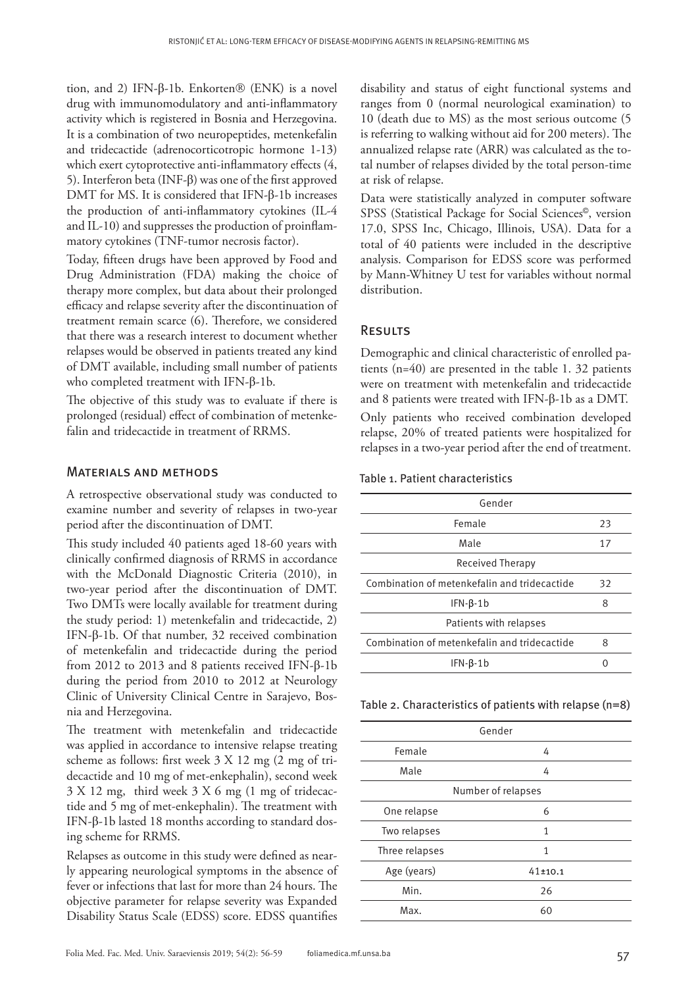tion, and 2) IFN-β-1b. Enkorten $<sup>®</sup>$  (ENK) is a novel</sup> drug with immunomodulatory and anti-inflammatory activity which is registered in Bosnia and Herzegovina. It is a combination of two neuropeptides, metenkefalin and tridecactide (adrenocorticotropic hormone 1-13) which exert cytoprotective anti-inflammatory effects (4, 5). Interferon beta (INF-β) was one of the first approved DMT for MS. It is considered that IFN-β-1b increases the production of anti-inflammatory cytokines (IL-4 and IL-10) and suppresses the production of proinflammatory cytokines (TNF-tumor necrosis factor).

Today, fifteen drugs have been approved by Food and Drug Administration (FDA) making the choice of therapy more complex, but data about their prolonged efficacy and relapse severity after the discontinuation of treatment remain scarce (6). Therefore, we considered that there was a research interest to document whether relapses would be observed in patients treated any kind of DMT available, including small number of patients who completed treatment with IFN-β-1b.

The objective of this study was to evaluate if there is prolonged (residual) effect of combination of metenkefalin and tridecactide in treatment of RRMS.

### Materials and methods

A retrospective observational study was conducted to examine number and severity of relapses in two-year period after the discontinuation of DMT.

This study included 40 patients aged 18-60 years with clinically confirmed diagnosis of RRMS in accordance with the McDonald Diagnostic Criteria (2010), in two-year period after the discontinuation of DMT. Two DMTs were locally available for treatment during the study period: 1) metenkefalin and tridecactide, 2) IFN-β-1b. Of that number, 32 received combination of metenkefalin and tridecactide during the period from 2012 to 2013 and 8 patients received IFN-β-1b during the period from 2010 to 2012 at Neurology Clinic of University Clinical Centre in Sarajevo, Bosnia and Herzegovina.

The treatment with metenkefalin and tridecactide was applied in accordance to intensive relapse treating scheme as follows: first week 3 X 12 mg (2 mg of tridecactide and 10 mg of met-enkephalin), second week 3 X 12 mg, third week 3 X 6 mg (1 mg of tridecactide and 5 mg of met-enkephalin). The treatment with IFN-β-1b lasted 18 months according to standard dosing scheme for RRMS.

Relapses as outcome in this study were defined as nearly appearing neurological symptoms in the absence of fever or infections that last for more than 24 hours. The objective parameter for relapse severity was Expanded Disability Status Scale (EDSS) score. EDSS quantifies

disability and status of eight functional systems and ranges from 0 (normal neurological examination) to 10 (death due to MS) as the most serious outcome (5 is referring to walking without aid for 200 meters). The annualized relapse rate (ARR) was calculated as the total number of relapses divided by the total person-time at risk of relapse.

Data were statistically analyzed in computer software SPSS (Statistical Package for Social Sciences©, version 17.0, SPSS Inc, Chicago, Illinois, USA). Data for a total of 40 patients were included in the descriptive analysis. Comparison for EDSS score was performed by Mann-Whitney U test for variables without normal distribution.

#### **RESULTS**

Demographic and clinical characteristic of enrolled patients (n=40) are presented in the table 1. 32 patients were on treatment with metenkefalin and tridecactide and 8 patients were treated with IFN-β-1b as a DMT.

Only patients who received combination developed relapse, 20% of treated patients were hospitalized for relapses in a two-year period after the end of treatment.

Table 1. Patient characteristics

| Gender                                       |    |
|----------------------------------------------|----|
| Female                                       | 23 |
| Male                                         | 17 |
| Received Therapy                             |    |
| Combination of metenkefalin and tridecactide | 32 |
| $IFN-B-1b$                                   | 8  |
| Patients with relapses                       |    |
| Combination of metenkefalin and tridecactide | 8  |
| $IFN-B-1b$                                   |    |

Table 2. Characteristics of patients with relapse (n=8)

| Gender             |
|--------------------|
| 4                  |
| 4                  |
| Number of relapses |
| 6                  |
| 1                  |
| 1                  |
| $41 + 10.1$        |
| 26                 |
| 60                 |
|                    |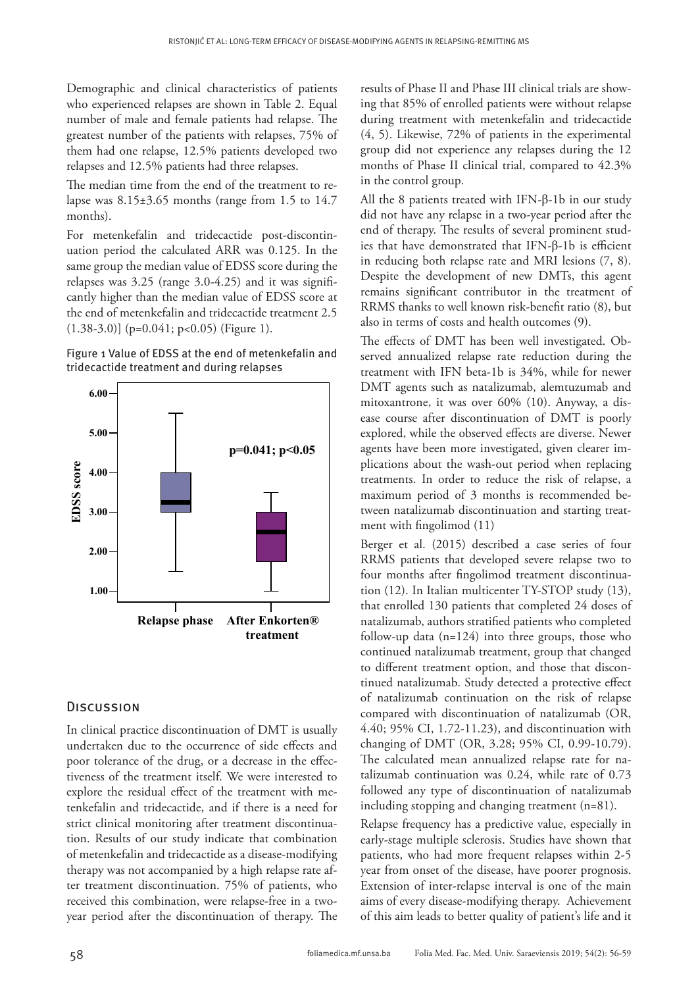Demographic and clinical characteristics of patients who experienced relapses are shown in Table 2. Equal number of male and female patients had relapse. The greatest number of the patients with relapses, 75% of them had one relapse, 12.5% patients developed two relapses and 12.5% patients had three relapses.

The median time from the end of the treatment to relapse was  $8.15\pm3.65$  months (range from 1.5 to 14.7) months).

For metenkefalin and tridecactide post-discontinuation period the calculated ARR was 0.125. In the same group the median value of EDSS score during the relapses was 3.25 (range 3.0-4.25) and it was significantly higher than the median value of EDSS score at the end of metenkefalin and tridecactide treatment 2.5  $(1.38-3.0)$ ] (p=0.041; p<0.05) (Figure 1).





## **DISCUSSION**

In clinical practice discontinuation of DMT is usually undertaken due to the occurrence of side effects and poor tolerance of the drug, or a decrease in the effectiveness of the treatment itself. We were interested to explore the residual effect of the treatment with metenkefalin and tridecactide, and if there is a need for strict clinical monitoring after treatment discontinuation. Results of our study indicate that combination of metenkefalin and tridecactide as a disease-modifying therapy was not accompanied by a high relapse rate after treatment discontinuation. 75% of patients, who received this combination, were relapse-free in a twoyear period after the discontinuation of therapy. The

results of Phase II and Phase III clinical trials are showing that 85% of enrolled patients were without relapse during treatment with metenkefalin and tridecactide (4, 5). Likewise, 72% of patients in the experimental group did not experience any relapses during the 12 months of Phase II clinical trial, compared to 42.3% in the control group.

All the 8 patients treated with IFN-β-1b in our study did not have any relapse in a two-year period after the end of therapy. The results of several prominent studies that have demonstrated that IFN-β-1b is efficient in reducing both relapse rate and MRI lesions (7, 8). Despite the development of new DMTs, this agent remains significant contributor in the treatment of RRMS thanks to well known risk-benefit ratio (8), but also in terms of costs and health outcomes (9).

The effects of DMT has been well investigated. Observed annualized relapse rate reduction during the treatment with IFN beta-1b is 34%, while for newer DMT agents such as natalizumab, alemtuzumab and mitoxantrone, it was over 60% (10). Anyway, a disease course after discontinuation of DMT is poorly explored, while the observed effects are diverse. Newer agents have been more investigated, given clearer implications about the wash-out period when replacing treatments. In order to reduce the risk of relapse, a maximum period of 3 months is recommended between natalizumab discontinuation and starting treatment with fingolimod (11)

Berger et al. (2015) described a case series of four RRMS patients that developed severe relapse two to four months after fingolimod treatment discontinuation (12). In Italian multicenter TY-STOP study (13), that enrolled 130 patients that completed 24 doses of natalizumab, authors stratified patients who completed follow-up data  $(n=124)$  into three groups, those who continued natalizumab treatment, group that changed to different treatment option, and those that discontinued natalizumab. Study detected a protective effect of natalizumab continuation on the risk of relapse compared with discontinuation of natalizumab (OR, 4.40; 95% CI, 1.72-11.23), and discontinuation with changing of DMT (OR, 3.28; 95% CI, 0.99-10.79). The calculated mean annualized relapse rate for natalizumab continuation was 0.24, while rate of 0.73 followed any type of discontinuation of natalizumab including stopping and changing treatment (n=81).

Relapse frequency has a predictive value, especially in early-stage multiple sclerosis. Studies have shown that patients, who had more frequent relapses within 2-5 year from onset of the disease, have poorer prognosis. Extension of inter-relapse interval is one of the main aims of every disease-modifying therapy. Achievement of this aim leads to better quality of patient's life and it